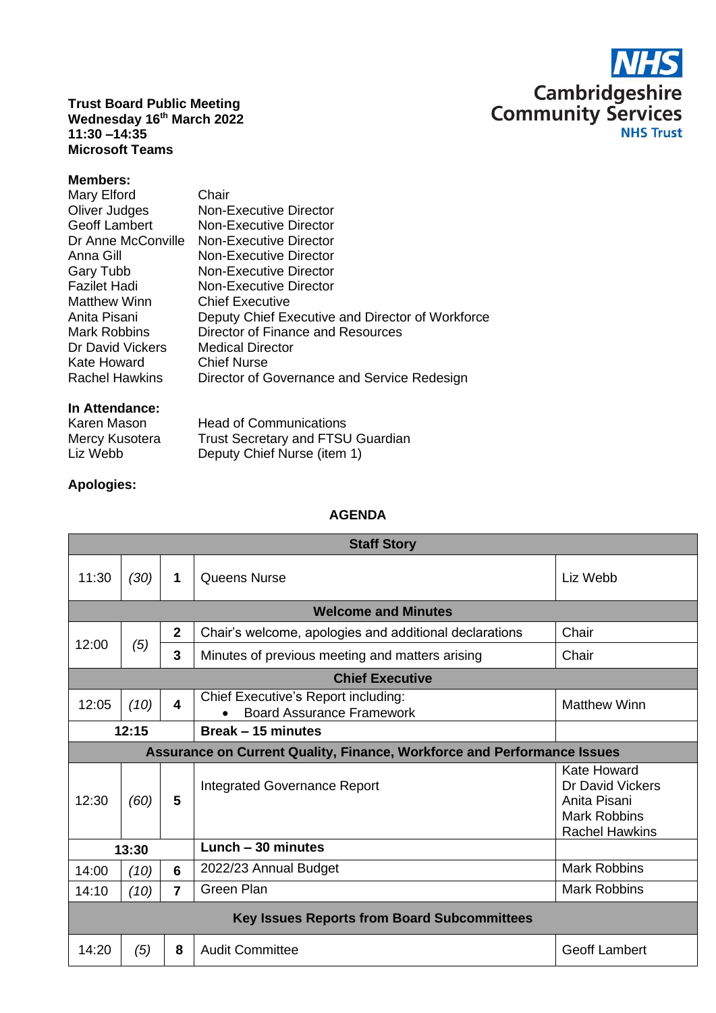

**Trust Board Public Meeting Wednesday 16th March 2022 11:30 –14:35 Microsoft Teams**

## **Members:**

| <b>Matthew Winn</b><br><b>Chief Executive</b><br>Anita Pisani<br>Director of Finance and Resources<br><b>Mark Robbins</b><br>Dr David Vickers<br><b>Medical Director</b><br><b>Chief Nurse</b><br>Kate Howard<br>Director of Governance and Service Redesign<br><b>Rachel Hawkins</b> | Mary Elford<br>Oliver Judges<br>Geoff Lambert<br>Dr Anne McConville<br>Anna Gill<br>Gary Tubb<br><b>Fazilet Hadi</b> | Chair<br>Non-Executive Director<br>Non-Executive Director<br>Non-Executive Director<br>Non-Executive Director<br>Non-Executive Director<br><b>Non-Executive Director</b><br>Deputy Chief Executive and Director of Workforce |
|---------------------------------------------------------------------------------------------------------------------------------------------------------------------------------------------------------------------------------------------------------------------------------------|----------------------------------------------------------------------------------------------------------------------|------------------------------------------------------------------------------------------------------------------------------------------------------------------------------------------------------------------------------|
|---------------------------------------------------------------------------------------------------------------------------------------------------------------------------------------------------------------------------------------------------------------------------------------|----------------------------------------------------------------------------------------------------------------------|------------------------------------------------------------------------------------------------------------------------------------------------------------------------------------------------------------------------------|

## **In Attendance:**

| Karen Mason    | <b>Head of Communications</b>            |
|----------------|------------------------------------------|
| Mercy Kusotera | <b>Trust Secretary and FTSU Guardian</b> |
| Liz Webb       | Deputy Chief Nurse (item 1)              |

## **Apologies:**

## **AGENDA**

| <b>Staff Story</b>                                                             |                            |                         |                                                                         |                                                                                          |  |  |
|--------------------------------------------------------------------------------|----------------------------|-------------------------|-------------------------------------------------------------------------|------------------------------------------------------------------------------------------|--|--|
| 11:30                                                                          | (30)                       | 1                       | Queens Nurse                                                            | Liz Webb                                                                                 |  |  |
|                                                                                | <b>Welcome and Minutes</b> |                         |                                                                         |                                                                                          |  |  |
| 12:00                                                                          | (5)                        | $\overline{2}$          | Chair's welcome, apologies and additional declarations                  | Chair                                                                                    |  |  |
|                                                                                |                            | 3                       | Minutes of previous meeting and matters arising                         | Chair                                                                                    |  |  |
| <b>Chief Executive</b>                                                         |                            |                         |                                                                         |                                                                                          |  |  |
| 12:05                                                                          | (10)                       | $\overline{\mathbf{4}}$ | Chief Executive's Report including:<br><b>Board Assurance Framework</b> | <b>Matthew Winn</b>                                                                      |  |  |
| 12:15<br>Break - 15 minutes                                                    |                            |                         |                                                                         |                                                                                          |  |  |
| <b>Assurance on Current Quality, Finance, Workforce and Performance Issues</b> |                            |                         |                                                                         |                                                                                          |  |  |
| 12:30                                                                          | (60)                       | 5                       | Integrated Governance Report                                            | Kate Howard<br>Dr David Vickers<br>Anita Pisani<br>Mark Robbins<br><b>Rachel Hawkins</b> |  |  |
| Lunch - 30 minutes<br>13:30                                                    |                            |                         |                                                                         |                                                                                          |  |  |
| 14:00                                                                          | (10)                       | 6                       | 2022/23 Annual Budget                                                   | <b>Mark Robbins</b>                                                                      |  |  |
| 14:10                                                                          | (10)                       | $\overline{7}$          | Green Plan                                                              | <b>Mark Robbins</b>                                                                      |  |  |
| <b>Key Issues Reports from Board Subcommittees</b>                             |                            |                         |                                                                         |                                                                                          |  |  |
| 14:20                                                                          | (5)                        | 8                       | <b>Audit Committee</b>                                                  | <b>Geoff Lambert</b>                                                                     |  |  |